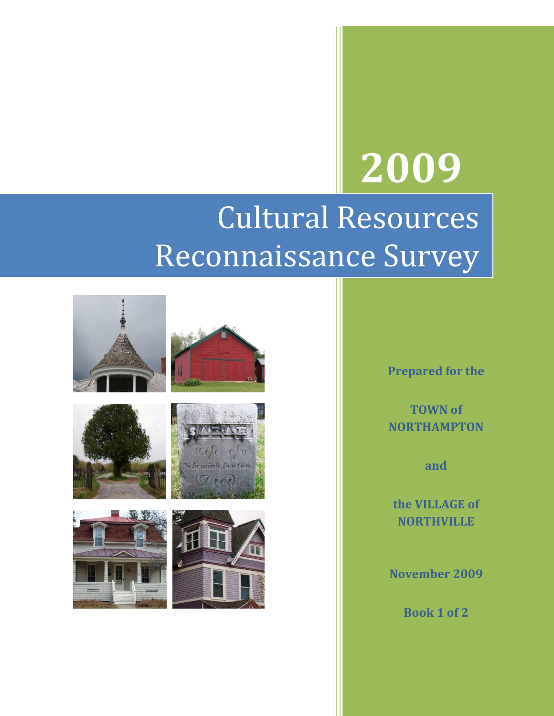## **2009** Cultural Resources

# Reconnaissance Survey



**Prepared for the**

**TOWN of NORTHAMPTON**

**and** 

**the VILLAGE of NORTHVILLE**

**November 2009**

**Book 1 of 2**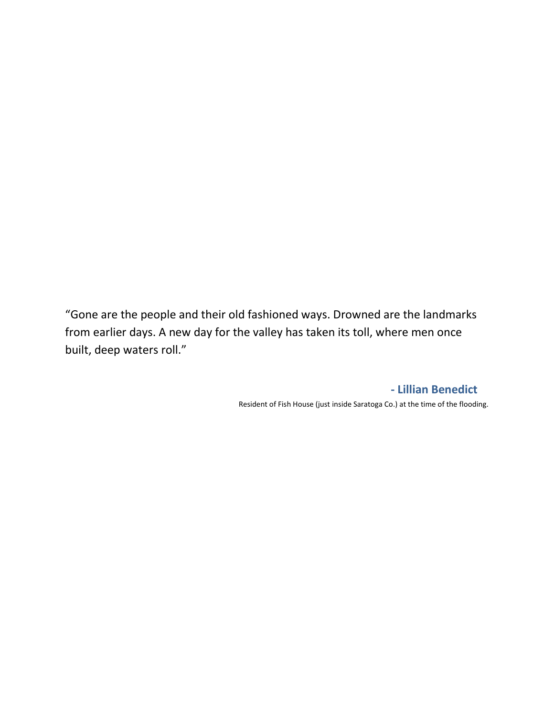"Gone are the people and their old fashioned ways. Drowned are the landmarks from earlier days. A new day for the valley has taken its toll, where men once built, deep waters roll."

**- Lillian Benedict**

Resident of Fish House (just inside Saratoga Co.) at the time of the flooding.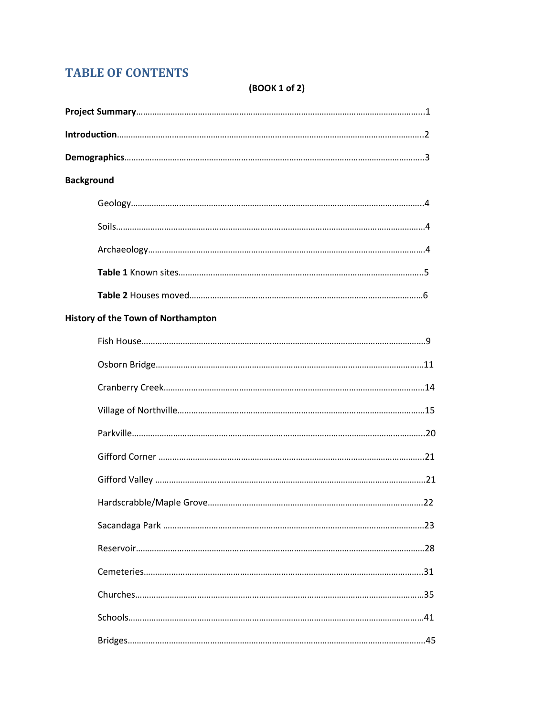## **TABLE OF CONTENTS**

### (BOOK 1 of 2)

| <b>Background</b>                         |  |
|-------------------------------------------|--|
|                                           |  |
|                                           |  |
|                                           |  |
|                                           |  |
|                                           |  |
| <b>History of the Town of Northampton</b> |  |
|                                           |  |
|                                           |  |
|                                           |  |
|                                           |  |
|                                           |  |
|                                           |  |
|                                           |  |
|                                           |  |
|                                           |  |
|                                           |  |
|                                           |  |
|                                           |  |
|                                           |  |
|                                           |  |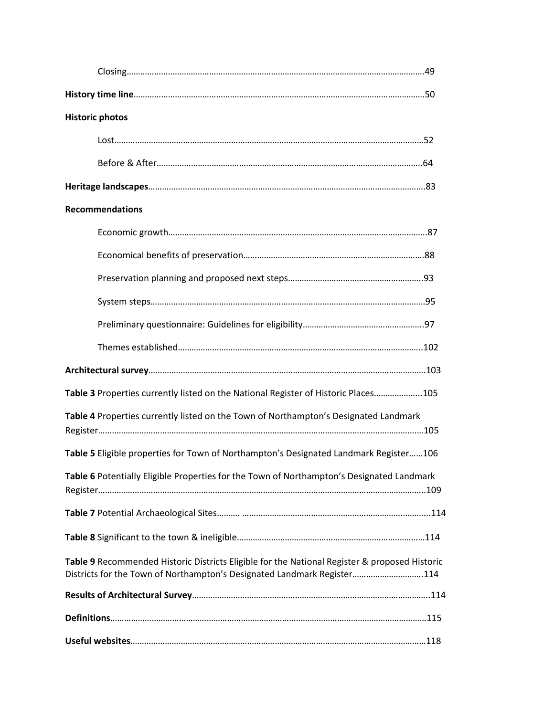| <b>Historic photos</b>                                                                                                                                                   |  |
|--------------------------------------------------------------------------------------------------------------------------------------------------------------------------|--|
|                                                                                                                                                                          |  |
|                                                                                                                                                                          |  |
|                                                                                                                                                                          |  |
| <b>Recommendations</b>                                                                                                                                                   |  |
|                                                                                                                                                                          |  |
|                                                                                                                                                                          |  |
|                                                                                                                                                                          |  |
|                                                                                                                                                                          |  |
|                                                                                                                                                                          |  |
|                                                                                                                                                                          |  |
|                                                                                                                                                                          |  |
| Table 3 Properties currently listed on the National Register of Historic Places105                                                                                       |  |
| Table 4 Properties currently listed on the Town of Northampton's Designated Landmark                                                                                     |  |
| Table 5 Eligible properties for Town of Northampton's Designated Landmark Register106                                                                                    |  |
| Table 6 Potentially Eligible Properties for the Town of Northampton's Designated Landmark                                                                                |  |
|                                                                                                                                                                          |  |
|                                                                                                                                                                          |  |
| Table 9 Recommended Historic Districts Eligible for the National Register & proposed Historic<br>Districts for the Town of Northampton's Designated Landmark Register114 |  |
|                                                                                                                                                                          |  |
|                                                                                                                                                                          |  |
|                                                                                                                                                                          |  |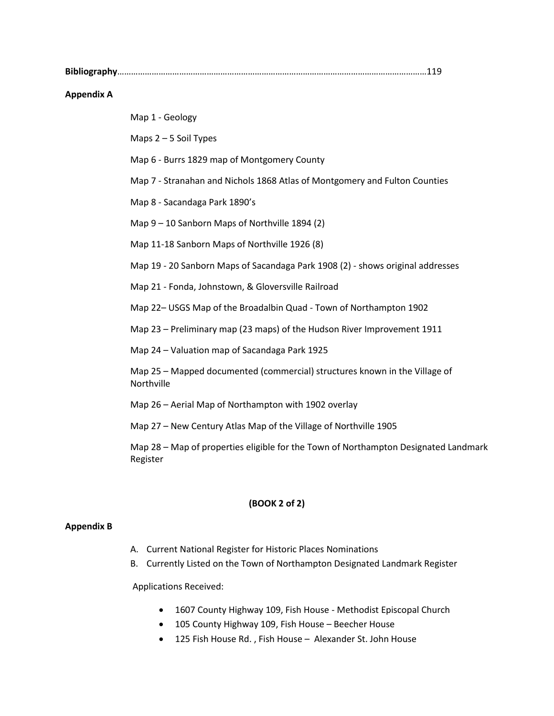**Bibliography**………………………………………………………………………………………………………………………119

#### **Appendix A**

Map 1 - Geology

Maps 2 – 5 Soil Types

Map 6 - Burrs 1829 map of Montgomery County

Map 7 - Stranahan and Nichols 1868 Atlas of Montgomery and Fulton Counties

Map 8 - Sacandaga Park 1890's

Map 9 – 10 Sanborn Maps of Northville 1894 (2)

Map 11-18 Sanborn Maps of Northville 1926 (8)

Map 19 - 20 Sanborn Maps of Sacandaga Park 1908 (2) - shows original addresses

Map 21 - Fonda, Johnstown, & Gloversville Railroad

Map 22– USGS Map of the Broadalbin Quad - Town of Northampton 1902

Map 23 – Preliminary map (23 maps) of the Hudson River Improvement 1911

Map 24 – Valuation map of Sacandaga Park 1925

Map 25 – Mapped documented (commercial) structures known in the Village of Northville

Map 26 – Aerial Map of Northampton with 1902 overlay

Map 27 – New Century Atlas Map of the Village of Northville 1905

Map 28 – Map of properties eligible for the Town of Northampton Designated Landmark Register

#### **(BOOK 2 of 2)**

#### **Appendix B**

- A. Current National Register for Historic Places Nominations
- B. Currently Listed on the Town of Northampton Designated Landmark Register

Applications Received:

- 1607 County Highway 109, Fish House Methodist Episcopal Church
- 105 County Highway 109, Fish House Beecher House
- 125 Fish House Rd. , Fish House Alexander St. John House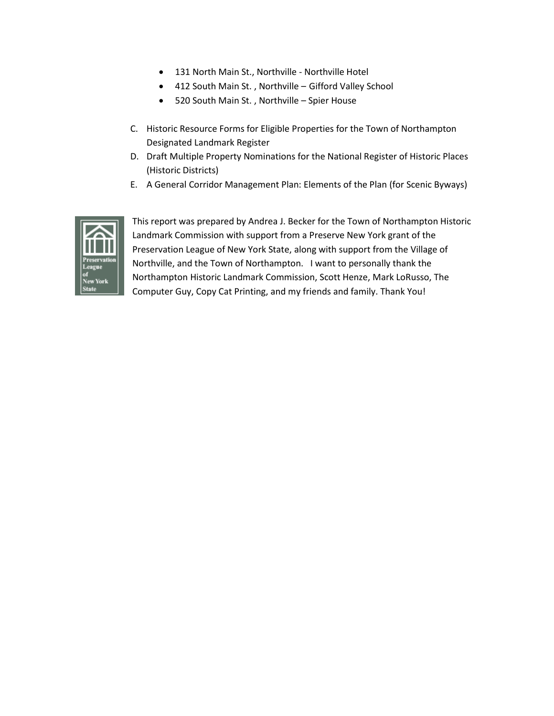- 131 North Main St., Northville Northville Hotel
- 412 South Main St. , Northville Gifford Valley School
- 520 South Main St. , Northville Spier House
- C. Historic Resource Forms for Eligible Properties for the Town of Northampton Designated Landmark Register
- D. Draft Multiple Property Nominations for the National Register of Historic Places (Historic Districts)
- E. A General Corridor Management Plan: Elements of the Plan (for Scenic Byways)



This report was prepared by Andrea J. Becker for the Town of Northampton Historic Landmark Commission with support from a Preserve New York grant of the Preservation League of New York State, along with support from the Village of Northville, and the Town of Northampton. I want to personally thank the Northampton Historic Landmark Commission, Scott Henze, Mark LoRusso, The Computer Guy, Copy Cat Printing, and my friends and family. Thank You!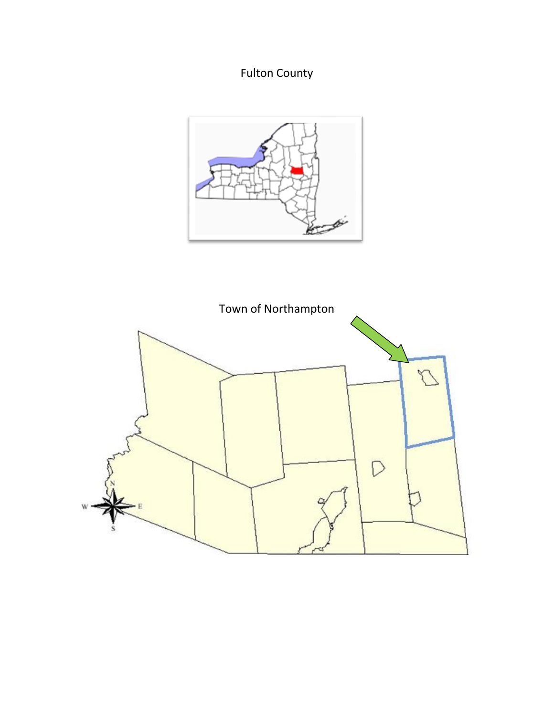## Fulton County